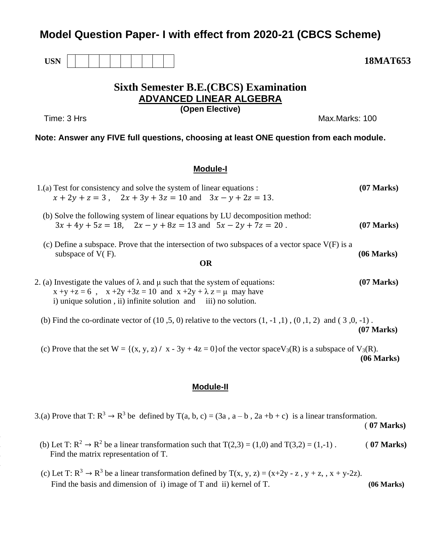## **Model Question Paper- I with effect from 2020-21 (CBCS Scheme)**



**1.**

**4.**

# **Sixth Semester B.E.(CBCS) Examination ADVANCED LINEAR ALGEBRA**

**(Open Elective)**

Time: 3 Hrs Max.Marks: 100

**Note: Answer any FIVE full questions, choosing at least ONE question from each module.**

### **Module-I**

| 1.(a) Test for consistency and solve the system of linear equations : | $(07 \text{ Marks})$                                            |  |  |
|-----------------------------------------------------------------------|-----------------------------------------------------------------|--|--|
|                                                                       | $x + 2y + z = 3$ , $2x + 3y + 3z = 10$ and $3x - y + 2z = 13$ . |  |  |

- (b) Solve the following system of linear equations by LU decomposition method:  $3x + 4y + 5z = 18$ ,  $2x - y + 8z = 13$  and  $5x - 2y + 7z = 20$ . (07 Marks)
- (c) Define a subspace. Prove that the intersection of two subspaces of a vector space  $V(F)$  is a subspace of V(F). **(06 Marks)** (06 Marks)

#### **OR**

- 2. (a) Investigate the values of  $\lambda$  and  $\mu$  such that the system of equations: **(07 Marks)**  $x +y +z = 6$ ,  $x +2y +3z = 10$  and  $x +2y + \lambda z = \mu$  may have i) unique solution , ii) infinite solution and iii) no solution.
- (b) Find the co-ordinate vector of  $(10, 5, 0)$  relative to the vectors  $(1, -1, 1)$ ,  $(0, 1, 2)$  and  $(3, 0, -1)$ . **(07 Marks)**
- (c) Prove that the set  $W = \{(x, y, z) / x 3y + 4z = 0\}$  of the vector space  $V_3(R)$  is a subspace of  $V_3(R)$ . **(06 Marks)**

### **Module-II**

3.(a) Prove that T:  $R^3 \rightarrow R^3$  be defined by T(a, b, c) = (3a, a – b, 2a +b + c) is a linear transformation.

( **07 Marks)**

- (b) Let T:  $\mathbb{R}^2 \to \mathbb{R}^2$  be a linear transformation such that  $T(2,3) = (1,0)$  and  $T(3,2) = (1,-1)$ . (**07 Marks**) **3.** Find the matrix representation of T.
	- (c) Let T:  $R^3 \rightarrow R^3$  be a linear transformation defined by T(x, y, z) = (x+2y z, y + z, , x + y-2z). Find the basis and dimension of i) image of T and ii) kernel of T. **(06 Marks)**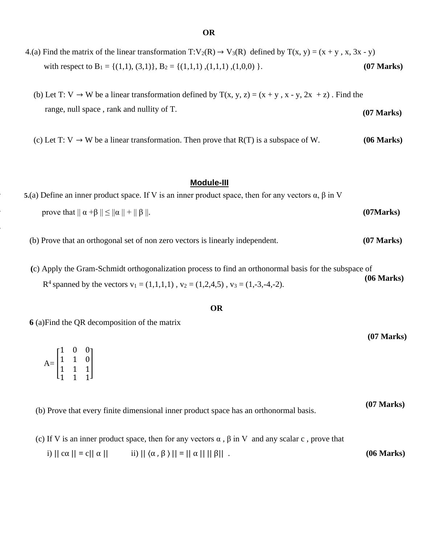- 4.(a) Find the matrix of the linear transformation  $T:V_2(R) \to V_3(R)$  defined by  $T(x, y) = (x + y, x, 3x y)$ with respect to B<sub>1</sub> = {(1,1), (3,1)}, B<sub>2</sub> = {(1,1,1), (1,1,1), (1,0,0) }. **(07 Marks)**
- (b) Let T: V  $\rightarrow$  W be a linear transformation defined by T(x, y, z) = (x + y, x y, 2x + z). Find the range, null space , rank and nullity of T. **(07 Marks)**
- (c) Let T:  $V \rightarrow W$  be a linear transformation. Then prove that  $R(T)$  is a subspace of W. (06 Marks)

### **Module-III**

- **5.**(a) Define an inner product space. If V is an inner product space, then for any vectors  $\alpha$ ,  $\beta$  in V prove that  $|| \alpha + \beta || \le ||\alpha|| + ||\beta||$ . **(07Marks)** 
	- (b) Prove that an orthogonal set of non zero vectors is linearly independent. **(07 Marks)**
- **(**c) Apply the Gram-Schmidt orthogonalization process to find an orthonormal basis for the subspace of  $R^4$  spanned by the vectors  $v_1 = (1,1,1,1)$ ,  $v_2 = (1,2,4,5)$ ,  $v_3 = (1,-3,-4,-2)$ . **(06 Marks)**

#### **OR**

 **6** (a)Find the QR decomposition of the matrix

**5.**

**6.**

**7.**

| $\mathbf{A}\mathbf{=}\begin{bmatrix} 1 & 0 & 0 \\ 1 & 1 & 0 \\ 1 & 1 & 1 \\ 1 & 1 & 1 \end{bmatrix}$ |  |  |
|------------------------------------------------------------------------------------------------------|--|--|
|                                                                                                      |  |  |

**(07 Marks)**

 (b) Prove that every finite dimensional inner product space has an orthonormal basis. **(07 Marks)**

- (c) If V is an inner product space, then for any vectors  $\alpha$ ,  $\beta$  in V and any scalar c, prove that
	- i)  $|| c \alpha || = c || \alpha ||$  ii)  $|| \langle \alpha, \beta \rangle || = || \alpha || || \beta ||$ . (06 Marks)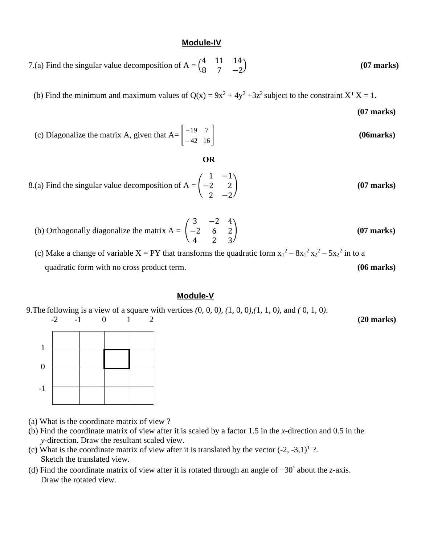#### **Module-IV**

7.(a) Find the singular value decomposition of A =  $\begin{pmatrix} 4 & 11 & 14 \\ 0 & 7 & 3 \end{pmatrix}$ 8 7 −2 ) **(07 marks)**

(b) Find the minimum and maximum values of  $Q(x) = 9x^2 + 4y^2 + 3z^2$  subject to the constraint  $X<sup>T</sup> X = 1$ .  **(07 marks)**

(c) Diagonalize the matrix A, given that  $A = \begin{bmatrix} 1 & 1 \\ -42 & 16 \end{bmatrix}$ 19 7 − ] **(06marks)**

#### **OR**

- 8.(a) Find the singular value decomposition of  $A = |$ 1 −1 −2 2 2 −2 ) **(07 marks)**
- (b) Orthogonally diagonalize the matrix  $A = \begin{bmatrix} 1 \\ 1 \end{bmatrix}$ 3 −2 4 −2 6 2 4 2 3 ) **(07 marks)**

(c) Make a change of variable  $X = PY$  that transforms the quadratic form  $x_1^2 - 8x_1^2 x_2^2 - 5x_2^2$  in to a quadratic form with no cross product term. **(06 marks)** (06 marks)

#### **Module-V**

9.The following is a view of a square with vertices *(*0*,* 0*,* 0*)*, *(*1*,* 0*,* 0*)*,*(*1*,* 1*,* 0*)*, and *(* 0*,* 1*,* 0*)*. -2 -1 0 1 2 **(20 marks)**



- (a) What is the coordinate matrix of view ?
- (b) Find the coordinate matrix of view after it is scaled by a factor 1.5 in the *x*-direction and 0.5 in the *y*-direction. Draw the resultant scaled view.
- (c) What is the coordinate matrix of view after it is translated by the vector  $(-2, -3, 1)^T$  ?. Sketch the translated view.
- (d) Find the coordinate matrix of view after it is rotated through an angle of −30◦ about the *z*-axis. Draw the rotated view.